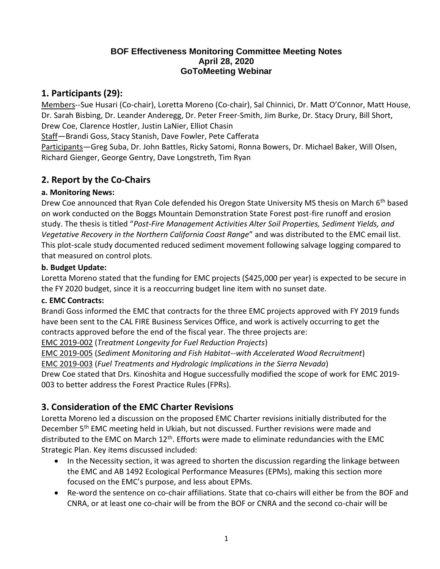### **BOF Effectiveness Monitoring Committee Meeting Notes April 28, 2020 GoToMeeting Webinar**

## **1. Participants (29):**

Members--Sue Husari (Co-chair), Loretta Moreno (Co-chair), Sal Chinnici, Dr. Matt O'Connor, Matt House, Dr. Sarah Bisbing, Dr. Leander Anderegg, Dr. Peter Freer-Smith, Jim Burke, Dr. Stacy Drury, Bill Short, Drew Coe, Clarence Hostler, Justin LaNier, Elliot Chasin

Staff—Brandi Goss, Stacy Stanish, Dave Fowler, Pete Cafferata

Participants—Greg Suba, Dr. John Battles, Ricky Satomi, Ronna Bowers, Dr. Michael Baker, Will Olsen, Richard Gienger, George Gentry, Dave Longstreth, Tim Ryan

# **2. Report by the Co-Chairs**

### **a. Monitoring News:**

Drew Coe announced that Ryan Cole defended his Oregon State University MS thesis on March 6<sup>th</sup> based on work conducted on the Boggs Mountain Demonstration State Forest post-fire runoff and erosion study. The thesis is titled "*Post-Fire Management Activities Alter Soil Properties, Sediment Yields, and Vegetative Recovery in the Northern California Coast Range*" and was distributed to the EMC email list. This plot-scale study documented reduced sediment movement following salvage logging compared to that measured on control plots.

#### **b. Budget Update:**

Loretta Moreno stated that the funding for EMC projects (\$425,000 per year) is expected to be secure in the FY 2020 budget, since it is a reoccurring budget line item with no sunset date.

#### **c. EMC Contracts:**

Brandi Goss informed the EMC that contracts for the three EMC projects approved with FY 2019 funds have been sent to the CAL FIRE Business Services Office, and work is actively occurring to get the contracts approved before the end of the fiscal year. The three projects are:

EMC 2019-002 (*Treatment Longevity for Fuel Reduction Projects*)

EMC 2019-005 (*Sediment Monitoring and Fish Habitat--with Accelerated Wood Recruitment*)

EMC 2019-003 (*Fuel Treatments and Hydrologic Implications in the Sierra Nevada*)

Drew Coe stated that Drs. Kinoshita and Hogue successfully modified the scope of work for EMC 2019- 003 to better address the Forest Practice Rules (FPRs).

# **3. Consideration of the EMC Charter Revisions**

Loretta Moreno led a discussion on the proposed EMC Charter revisions initially distributed for the December 5<sup>th</sup> EMC meeting held in Ukiah, but not discussed. Further revisions were made and distributed to the EMC on March 12<sup>th</sup>. Efforts were made to eliminate redundancies with the EMC Strategic Plan. Key items discussed included:

- In the Necessity section, it was agreed to shorten the discussion regarding the linkage between the EMC and AB 1492 Ecological Performance Measures (EPMs), making this section more focused on the EMC's purpose, and less about EPMs.
- Re-word the sentence on co-chair affiliations. State that co-chairs will either be from the BOF and CNRA, or at least one co-chair will be from the BOF or CNRA and the second co-chair will be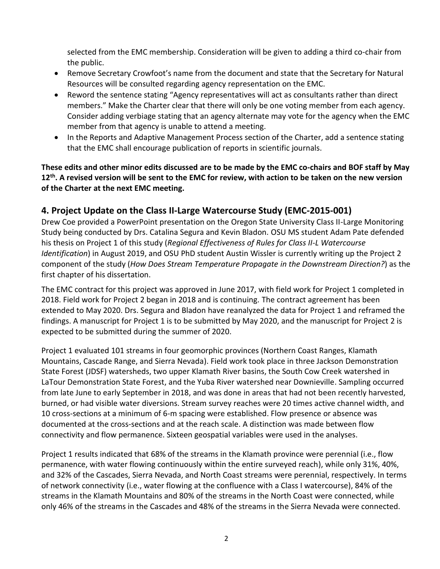selected from the EMC membership. Consideration will be given to adding a third co-chair from the public.

- Remove Secretary Crowfoot's name from the document and state that the Secretary for Natural Resources will be consulted regarding agency representation on the EMC.
- Reword the sentence stating "Agency representatives will act as consultants rather than direct members." Make the Charter clear that there will only be one voting member from each agency. Consider adding verbiage stating that an agency alternate may vote for the agency when the EMC member from that agency is unable to attend a meeting.
- In the Reports and Adaptive Management Process section of the Charter, add a sentence stating that the EMC shall encourage publication of reports in scientific journals.

### **These edits and other minor edits discussed are to be made by the EMC co-chairs and BOF staff by May 12th. A revised version will be sent to the EMC for review, with action to be taken on the new version of the Charter at the next EMC meeting.**

# **4. Project Update on the Class II-Large Watercourse Study (EMC-2015-001)**

Drew Coe provided a PowerPoint presentation on the Oregon State University Class II-Large Monitoring Study being conducted by Drs. Catalina Segura and Kevin Bladon. OSU MS student Adam Pate defended his thesis on Project 1 of this study (*Regional Effectiveness of Rules for Class II-L Watercourse Identification*) in August 2019, and OSU PhD student Austin Wissler is currently writing up the Project 2 component of the study (*How Does Stream Temperature Propagate in the Downstream Direction?*) as the first chapter of his dissertation.

The EMC contract for this project was approved in June 2017, with field work for Project 1 completed in 2018. Field work for Project 2 began in 2018 and is continuing. The contract agreement has been extended to May 2020. Drs. Segura and Bladon have reanalyzed the data for Project 1 and reframed the findings. A manuscript for Project 1 is to be submitted by May 2020, and the manuscript for Project 2 is expected to be submitted during the summer of 2020.

Project 1 evaluated 101 streams in four geomorphic provinces (Northern Coast Ranges, Klamath Mountains, Cascade Range, and Sierra Nevada). Field work took place in three Jackson Demonstration State Forest (JDSF) watersheds, two upper Klamath River basins, the South Cow Creek watershed in LaTour Demonstration State Forest, and the Yuba River watershed near Downieville. Sampling occurred from late June to early September in 2018, and was done in areas that had not been recently harvested, burned, or had visible water diversions. Stream survey reaches were 20 times active channel width, and 10 cross-sections at a minimum of 6-m spacing were established. Flow presence or absence was documented at the cross-sections and at the reach scale. A distinction was made between flow connectivity and flow permanence. Sixteen geospatial variables were used in the analyses.

Project 1 results indicated that 68% of the streams in the Klamath province were perennial (i.e., flow permanence, with water flowing continuously within the entire surveyed reach), while only 31%, 40%, and 32% of the Cascades, Sierra Nevada, and North Coast streams were perennial, respectively. In terms of network connectivity (i.e., water flowing at the confluence with a Class I watercourse), 84% of the streams in the Klamath Mountains and 80% of the streams in the North Coast were connected, while only 46% of the streams in the Cascades and 48% of the streams in the Sierra Nevada were connected.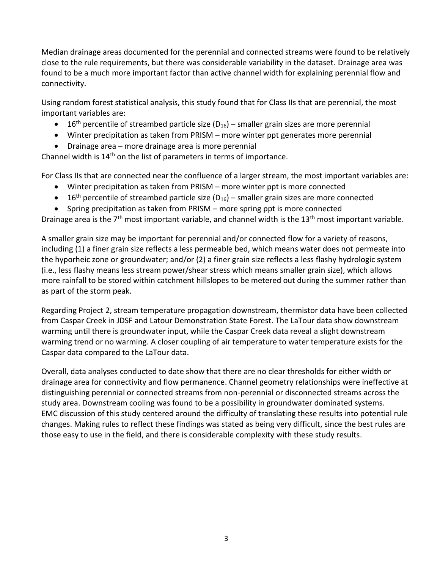Median drainage areas documented for the perennial and connected streams were found to be relatively close to the rule requirements, but there was considerable variability in the dataset. Drainage area was found to be a much more important factor than active channel width for explaining perennial flow and connectivity.

Using random forest statistical analysis, this study found that for Class IIs that are perennial, the most important variables are:

- 16<sup>th</sup> percentile of streambed particle size ( $D_{16}$ ) smaller grain sizes are more perennial
- Winter precipitation as taken from PRISM more winter ppt generates more perennial
- Drainage area more drainage area is more perennial

Channel width is  $14<sup>th</sup>$  on the list of parameters in terms of importance.

For Class IIs that are connected near the confluence of a larger stream, the most important variables are:

- Winter precipitation as taken from PRISM more winter ppt is more connected
- 16<sup>th</sup> percentile of streambed particle size ( $D_{16}$ ) smaller grain sizes are more connected
- Spring precipitation as taken from PRISM more spring ppt is more connected

Drainage area is the  $7<sup>th</sup>$  most important variable, and channel width is the 13<sup>th</sup> most important variable.

A smaller grain size may be important for perennial and/or connected flow for a variety of reasons, including (1) a finer grain size reflects a less permeable bed, which means water does not permeate into the hyporheic zone or groundwater; and/or (2) a finer grain size reflects a less flashy hydrologic system (i.e., less flashy means less stream power/shear stress which means smaller grain size), which allows more rainfall to be stored within catchment hillslopes to be metered out during the summer rather than as part of the storm peak.

Regarding Project 2, stream temperature propagation downstream, thermistor data have been collected from Caspar Creek in JDSF and Latour Demonstration State Forest. The LaTour data show downstream warming until there is groundwater input, while the Caspar Creek data reveal a slight downstream warming trend or no warming. A closer coupling of air temperature to water temperature exists for the Caspar data compared to the LaTour data.

Overall, data analyses conducted to date show that there are no clear thresholds for either width or drainage area for connectivity and flow permanence. Channel geometry relationships were ineffective at distinguishing perennial or connected streams from non-perennial or disconnected streams across the study area. Downstream cooling was found to be a possibility in groundwater dominated systems. EMC discussion of this study centered around the difficulty of translating these results into potential rule changes. Making rules to reflect these findings was stated as being very difficult, since the best rules are those easy to use in the field, and there is considerable complexity with these study results.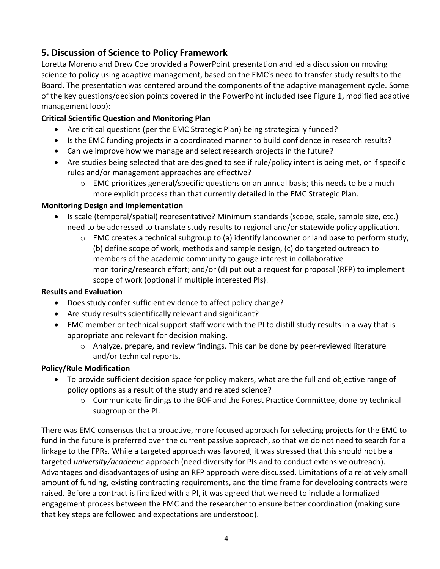# **5. Discussion of Science to Policy Framework**

Loretta Moreno and Drew Coe provided a PowerPoint presentation and led a discussion on moving science to policy using adaptive management, based on the EMC's need to transfer study results to the Board. The presentation was centered around the components of the adaptive management cycle. Some of the key questions/decision points covered in the PowerPoint included (see Figure 1, modified adaptive management loop):

### **Critical Scientific Question and Monitoring Plan**

- Are critical questions (per the EMC Strategic Plan) being strategically funded?
- Is the EMC funding projects in a coordinated manner to build confidence in research results?
- Can we improve how we manage and select research projects in the future?
- Are studies being selected that are designed to see if rule/policy intent is being met, or if specific rules and/or management approaches are effective?
	- $\circ$  EMC prioritizes general/specific questions on an annual basis; this needs to be a much more explicit process than that currently detailed in the EMC Strategic Plan.

### **Monitoring Design and Implementation**

- Is scale (temporal/spatial) representative? Minimum standards (scope, scale, sample size, etc.) need to be addressed to translate study results to regional and/or statewide policy application.
	- o EMC creates a technical subgroup to (a) identify landowner or land base to perform study, (b) define scope of work, methods and sample design, (c) do targeted outreach to members of the academic community to gauge interest in collaborative monitoring/research effort; and/or (d) put out a request for proposal (RFP) to implement scope of work (optional if multiple interested PIs).

### **Results and Evaluation**

- Does study confer sufficient evidence to affect policy change?
- Are study results scientifically relevant and significant?
- EMC member or technical support staff work with the PI to distill study results in a way that is appropriate and relevant for decision making.
	- o Analyze, prepare, and review findings. This can be done by peer-reviewed literature and/or technical reports.

### **Policy/Rule Modification**

- To provide sufficient decision space for policy makers, what are the full and objective range of policy options as a result of the study and related science?
	- $\circ$  Communicate findings to the BOF and the Forest Practice Committee, done by technical subgroup or the PI.

There was EMC consensus that a proactive, more focused approach for selecting projects for the EMC to fund in the future is preferred over the current passive approach, so that we do not need to search for a linkage to the FPRs. While a targeted approach was favored, it was stressed that this should not be a targeted *university/academic* approach (need diversity for PIs and to conduct extensive outreach). Advantages and disadvantages of using an RFP approach were discussed. Limitations of a relatively small amount of funding, existing contracting requirements, and the time frame for developing contracts were raised. Before a contract is finalized with a PI, it was agreed that we need to include a formalized engagement process between the EMC and the researcher to ensure better coordination (making sure that key steps are followed and expectations are understood).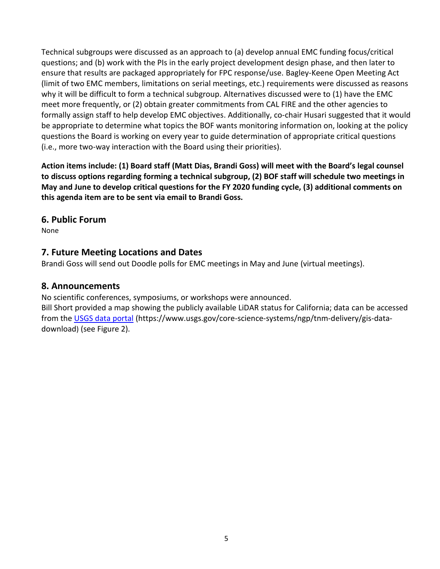Technical subgroups were discussed as an approach to (a) develop annual EMC funding focus/critical questions; and (b) work with the PIs in the early project development design phase, and then later to ensure that results are packaged appropriately for FPC response/use. Bagley-Keene Open Meeting Act (limit of two EMC members, limitations on serial meetings, etc.) requirements were discussed as reasons why it will be difficult to form a technical subgroup. Alternatives discussed were to (1) have the EMC meet more frequently, or (2) obtain greater commitments from CAL FIRE and the other agencies to formally assign staff to help develop EMC objectives. Additionally, co-chair Husari suggested that it would be appropriate to determine what topics the BOF wants monitoring information on, looking at the policy questions the Board is working on every year to guide determination of appropriate critical questions (i.e., more two-way interaction with the Board using their priorities).

**Action items include: (1) Board staff (Matt Dias, Brandi Goss) will meet with the Board's legal counsel to discuss options regarding forming a technical subgroup, (2) BOF staff will schedule two meetings in May and June to develop critical questions for the FY 2020 funding cycle, (3) additional comments on this agenda item are to be sent via email to Brandi Goss.**

### **6. Public Forum**

None

## **7. Future Meeting Locations and Dates**

Brandi Goss will send out Doodle polls for EMC meetings in May and June (virtual meetings).

### **8. Announcements**

No scientific conferences, symposiums, or workshops were announced.

Bill Short provided a map showing the publicly available LiDAR status for California; data can be accessed from the [USGS data portal](https://www.usgs.gov/core-science-systems/ngp/tnm-delivery/gis-data-download) (https://www.usgs.gov/core-science-systems/ngp/tnm-delivery/gis-datadownload) (see Figure 2).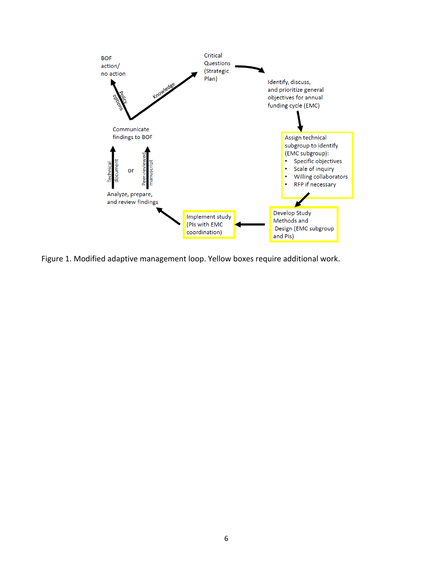

Figure 1. Modified adaptive management loop. Yellow boxes require additional work.